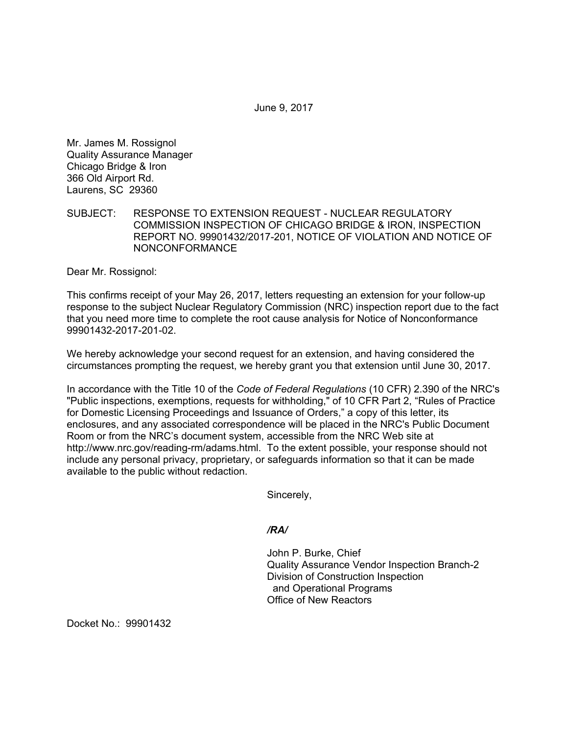June 9, 2017

Mr. James M. Rossignol Quality Assurance Manager Chicago Bridge & Iron 366 Old Airport Rd. Laurens, SC 29360

## SUBJECT: RESPONSE TO EXTENSION REQUEST - NUCLEAR REGULATORY COMMISSION INSPECTION OF CHICAGO BRIDGE & IRON, INSPECTION REPORT NO. 99901432/2017-201, NOTICE OF VIOLATION AND NOTICE OF NONCONFORMANCE

Dear Mr. Rossignol:

This confirms receipt of your May 26, 2017, letters requesting an extension for your follow-up response to the subject Nuclear Regulatory Commission (NRC) inspection report due to the fact that you need more time to complete the root cause analysis for Notice of Nonconformance 99901432-2017-201-02.

We hereby acknowledge your second request for an extension, and having considered the circumstances prompting the request, we hereby grant you that extension until June 30, 2017.

In accordance with the Title 10 of the *Code of Federal Regulations* (10 CFR) 2.390 of the NRC's "Public inspections, exemptions, requests for withholding," of 10 CFR Part 2, "Rules of Practice for Domestic Licensing Proceedings and Issuance of Orders," a copy of this letter, its enclosures, and any associated correspondence will be placed in the NRC's Public Document Room or from the NRC's document system, accessible from the NRC Web site at http://www.nrc.gov/reading-rm/adams.html. To the extent possible, your response should not include any personal privacy, proprietary, or safeguards information so that it can be made available to the public without redaction.

Sincerely,

*/RA/* 

John P. Burke, Chief Quality Assurance Vendor Inspection Branch-2 Division of Construction Inspection and Operational Programs Office of New Reactors

Docket No.: 99901432